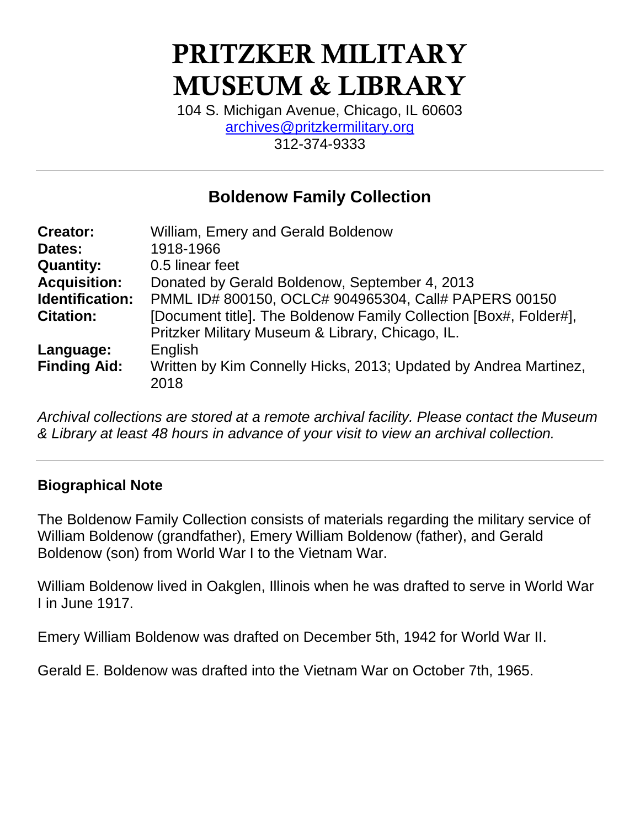# **PRITZKER MILITARY MUSEUM & LIBRARY**

104 S. Michigan Avenue, Chicago, IL 60603 [archives@pritzkermilitary.org](mailto:archives@pritzkermilitary.org) 312-374-9333

## **Boldenow Family Collection**

| <b>Creator:</b>     | William, Emery and Gerald Boldenow                                |
|---------------------|-------------------------------------------------------------------|
| Dates:              | 1918-1966                                                         |
| <b>Quantity:</b>    | 0.5 linear feet                                                   |
| <b>Acquisition:</b> | Donated by Gerald Boldenow, September 4, 2013                     |
| Identification:     | PMML ID# 800150, OCLC# 904965304, Call# PAPERS 00150              |
| <b>Citation:</b>    | [Document title]. The Boldenow Family Collection [Box#, Folder#], |
|                     | Pritzker Military Museum & Library, Chicago, IL.                  |
| Language:           | English                                                           |
| <b>Finding Aid:</b> | Written by Kim Connelly Hicks, 2013; Updated by Andrea Martinez,  |
|                     | 2018                                                              |

*Archival collections are stored at a remote archival facility. Please contact the Museum & Library at least 48 hours in advance of your visit to view an archival collection.*

#### **Biographical Note**

The Boldenow Family Collection consists of materials regarding the military service of William Boldenow (grandfather), Emery William Boldenow (father), and Gerald Boldenow (son) from World War I to the Vietnam War.

William Boldenow lived in Oakglen, Illinois when he was drafted to serve in World War I in June 1917.

Emery William Boldenow was drafted on December 5th, 1942 for World War II.

Gerald E. Boldenow was drafted into the Vietnam War on October 7th, 1965.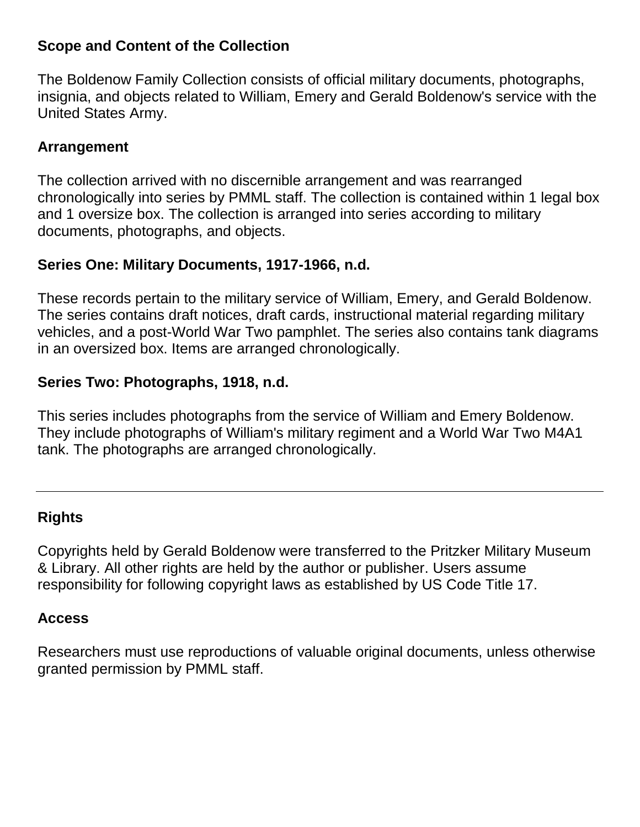#### **Scope and Content of the Collection**

The Boldenow Family Collection consists of official military documents, photographs, insignia, and objects related to William, Emery and Gerald Boldenow's service with the United States Army.

#### **Arrangement**

The collection arrived with no discernible arrangement and was rearranged chronologically into series by PMML staff. The collection is contained within 1 legal box and 1 oversize box. The collection is arranged into series according to military documents, photographs, and objects.

#### **Series One: Military Documents, 1917-1966, n.d.**

These records pertain to the military service of William, Emery, and Gerald Boldenow. The series contains draft notices, draft cards, instructional material regarding military vehicles, and a post-World War Two pamphlet. The series also contains tank diagrams in an oversized box. Items are arranged chronologically.

## **Series Two: Photographs, 1918, n.d.**

This series includes photographs from the service of William and Emery Boldenow. They include photographs of William's military regiment and a World War Two M4A1 tank. The photographs are arranged chronologically.

#### **Rights**

Copyrights held by Gerald Boldenow were transferred to the Pritzker Military Museum & Library. All other rights are held by the author or publisher. Users assume responsibility for following copyright laws as established by US Code Title 17.

#### **Access**

Researchers must use reproductions of valuable original documents, unless otherwise granted permission by PMML staff.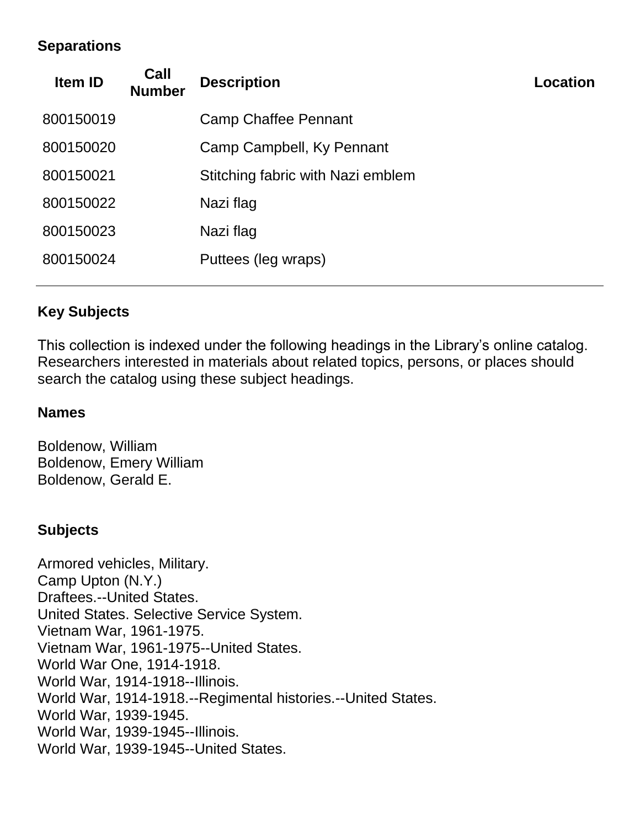#### **Separations**

| <b>Item ID</b> | Call<br><b>Number</b> | <b>Description</b>                | Location |
|----------------|-----------------------|-----------------------------------|----------|
| 800150019      |                       | <b>Camp Chaffee Pennant</b>       |          |
| 800150020      |                       | Camp Campbell, Ky Pennant         |          |
| 800150021      |                       | Stitching fabric with Nazi emblem |          |
| 800150022      |                       | Nazi flag                         |          |
| 800150023      |                       | Nazi flag                         |          |
| 800150024      |                       | Puttees (leg wraps)               |          |
|                |                       |                                   |          |

## **Key Subjects**

This collection is indexed under the following headings in the Library's online catalog. Researchers interested in materials about related topics, persons, or places should search the catalog using these subject headings.

#### **Names**

Boldenow, William Boldenow, Emery William Boldenow, Gerald E.

#### **Subjects**

Armored vehicles, Military. Camp Upton (N.Y.) Draftees.--United States. United States. Selective Service System. Vietnam War, 1961-1975. Vietnam War, 1961-1975--United States. World War One, 1914-1918. World War, 1914-1918--Illinois. World War, 1914-1918.--Regimental histories.--United States. World War, 1939-1945. World War, 1939-1945--Illinois. World War, 1939-1945--United States.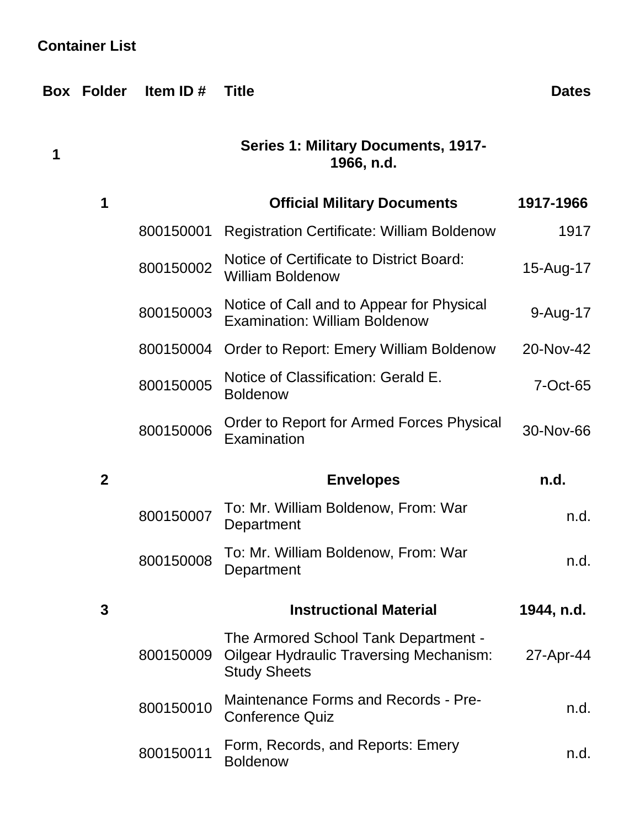# **Container List**

|   | <b>Box Folder</b> | Item ID $#$ | <b>Title</b>                                                                                                  | <b>Dates</b> |
|---|-------------------|-------------|---------------------------------------------------------------------------------------------------------------|--------------|
| 1 |                   |             |                                                                                                               |              |
|   | 1                 |             | <b>Official Military Documents</b>                                                                            | 1917-1966    |
|   |                   | 800150001   | <b>Registration Certificate: William Boldenow</b>                                                             | 1917         |
|   |                   | 800150002   | Notice of Certificate to District Board:<br><b>William Boldenow</b>                                           | 15-Aug-17    |
|   |                   | 800150003   | Notice of Call and to Appear for Physical<br><b>Examination: William Boldenow</b>                             | 9-Aug-17     |
|   |                   | 800150004   | <b>Order to Report: Emery William Boldenow</b>                                                                | 20-Nov-42    |
|   |                   | 800150005   | Notice of Classification: Gerald E.<br><b>Boldenow</b>                                                        | 7-Oct-65     |
|   |                   | 800150006   | Order to Report for Armed Forces Physical<br>Examination                                                      | 30-Nov-66    |
|   | $\mathbf{2}$      |             | <b>Envelopes</b>                                                                                              | n.d.         |
|   |                   | 800150007   | To: Mr. William Boldenow, From: War<br>Department                                                             | n.d.         |
|   |                   | 800150008   | To: Mr. William Boldenow, From: War<br>Department                                                             | n.d.         |
| 3 |                   |             | <b>Instructional Material</b>                                                                                 | 1944, n.d.   |
|   |                   | 800150009   | The Armored School Tank Department -<br><b>Oilgear Hydraulic Traversing Mechanism:</b><br><b>Study Sheets</b> | 27-Apr-44    |
|   |                   | 800150010   | Maintenance Forms and Records - Pre-<br><b>Conference Quiz</b>                                                | n.d.         |
|   |                   | 800150011   | Form, Records, and Reports: Emery<br><b>Boldenow</b>                                                          | n.d.         |